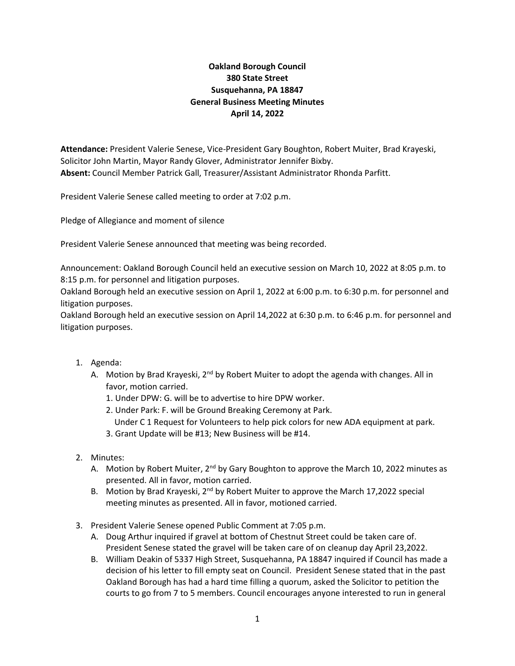## **Oakland Borough Council 380 State Street Susquehanna, PA 18847 General Business Meeting Minutes April 14, 2022**

**Attendance:** President Valerie Senese, Vice-President Gary Boughton, Robert Muiter, Brad Krayeski, Solicitor John Martin, Mayor Randy Glover, Administrator Jennifer Bixby. **Absent:** Council Member Patrick Gall, Treasurer/Assistant Administrator Rhonda Parfitt.

President Valerie Senese called meeting to order at 7:02 p.m.

Pledge of Allegiance and moment of silence

President Valerie Senese announced that meeting was being recorded.

Announcement: Oakland Borough Council held an executive session on March 10, 2022 at 8:05 p.m. to 8:15 p.m. for personnel and litigation purposes.

Oakland Borough held an executive session on April 1, 2022 at 6:00 p.m. to 6:30 p.m. for personnel and litigation purposes.

Oakland Borough held an executive session on April 14,2022 at 6:30 p.m. to 6:46 p.m. for personnel and litigation purposes.

- 1. Agenda:
	- A. Motion by Brad Krayeski,  $2<sup>nd</sup>$  by Robert Muiter to adopt the agenda with changes. All in favor, motion carried.
		- 1. Under DPW: G. will be to advertise to hire DPW worker.
		- 2. Under Park: F. will be Ground Breaking Ceremony at Park.
			- Under C 1 Request for Volunteers to help pick colors for new ADA equipment at park.
		- 3. Grant Update will be #13; New Business will be #14.
- 2. Minutes:
	- A. Motion by Robert Muiter,  $2<sup>nd</sup>$  by Gary Boughton to approve the March 10, 2022 minutes as presented. All in favor, motion carried.
	- B. Motion by Brad Krayeski,  $2^{nd}$  by Robert Muiter to approve the March 17,2022 special meeting minutes as presented. All in favor, motioned carried.
- 3. President Valerie Senese opened Public Comment at 7:05 p.m.
	- A. Doug Arthur inquired if gravel at bottom of Chestnut Street could be taken care of. President Senese stated the gravel will be taken care of on cleanup day April 23,2022.
	- B. William Deakin of 5337 High Street, Susquehanna, PA 18847 inquired if Council has made a decision of his letter to fill empty seat on Council. President Senese stated that in the past Oakland Borough has had a hard time filling a quorum, asked the Solicitor to petition the courts to go from 7 to 5 members. Council encourages anyone interested to run in general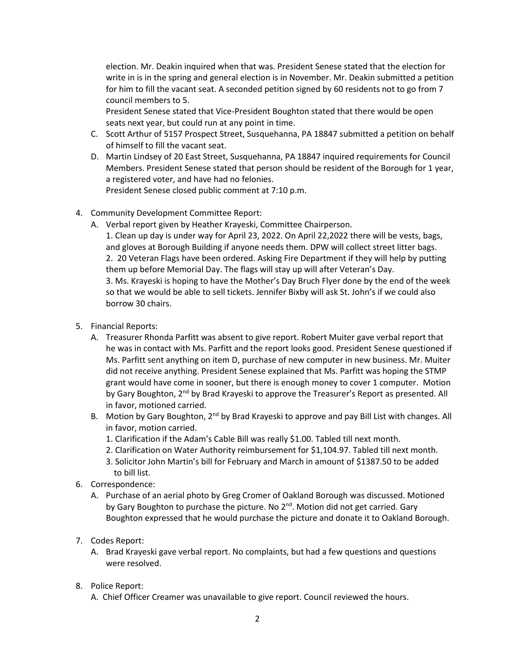election. Mr. Deakin inquired when that was. President Senese stated that the election for write in is in the spring and general election is in November. Mr. Deakin submitted a petition for him to fill the vacant seat. A seconded petition signed by 60 residents not to go from 7 council members to 5.

President Senese stated that Vice-President Boughton stated that there would be open seats next year, but could run at any point in time.

- C. Scott Arthur of 5157 Prospect Street, Susquehanna, PA 18847 submitted a petition on behalf of himself to fill the vacant seat.
- D. Martin Lindsey of 20 East Street, Susquehanna, PA 18847 inquired requirements for Council Members. President Senese stated that person should be resident of the Borough for 1 year, a registered voter, and have had no felonies. President Senese closed public comment at 7:10 p.m.
- 4. Community Development Committee Report:
	- A. Verbal report given by Heather Krayeski, Committee Chairperson.

1. Clean up day is under way for April 23, 2022. On April 22,2022 there will be vests, bags, and gloves at Borough Building if anyone needs them. DPW will collect street litter bags. 2. 20 Veteran Flags have been ordered. Asking Fire Department if they will help by putting them up before Memorial Day. The flags will stay up will after Veteran's Day. 3. Ms. Krayeski is hoping to have the Mother's Day Bruch Flyer done by the end of the week so that we would be able to sell tickets. Jennifer Bixby will ask St. John's if we could also borrow 30 chairs.

- 5. Financial Reports:
	- A. Treasurer Rhonda Parfitt was absent to give report. Robert Muiter gave verbal report that he was in contact with Ms. Parfitt and the report looks good. President Senese questioned if Ms. Parfitt sent anything on item D, purchase of new computer in new business. Mr. Muiter did not receive anything. President Senese explained that Ms. Parfitt was hoping the STMP grant would have come in sooner, but there is enough money to cover 1 computer. Motion by Gary Boughton, 2<sup>nd</sup> by Brad Krayeski to approve the Treasurer's Report as presented. All in favor, motioned carried.
	- B. Motion by Gary Boughton, 2<sup>nd</sup> by Brad Krayeski to approve and pay Bill List with changes. All in favor, motion carried.
		- 1. Clarification if the Adam's Cable Bill was really \$1.00. Tabled till next month.
		- 2. Clarification on Water Authority reimbursement for \$1,104.97. Tabled till next month.
		- 3. Solicitor John Martin's bill for February and March in amount of \$1387.50 to be added to bill list.
- 6. Correspondence:
	- A. Purchase of an aerial photo by Greg Cromer of Oakland Borough was discussed. Motioned by Gary Boughton to purchase the picture. No  $2^{nd}$ . Motion did not get carried. Gary Boughton expressed that he would purchase the picture and donate it to Oakland Borough.
- 7. Codes Report:
	- A. Brad Krayeski gave verbal report. No complaints, but had a few questions and questions were resolved.
- 8. Police Report:
	- A. Chief Officer Creamer was unavailable to give report. Council reviewed the hours.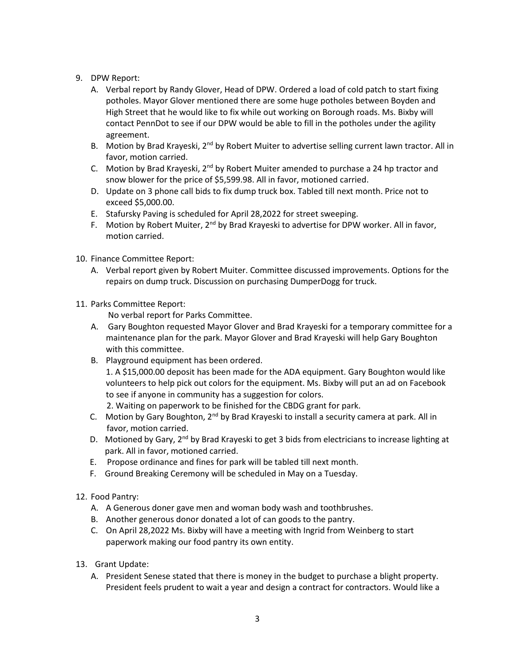- 9. DPW Report:
	- A. Verbal report by Randy Glover, Head of DPW. Ordered a load of cold patch to start fixing potholes. Mayor Glover mentioned there are some huge potholes between Boyden and High Street that he would like to fix while out working on Borough roads. Ms. Bixby will contact PennDot to see if our DPW would be able to fill in the potholes under the agility agreement.
	- B. Motion by Brad Krayeski, 2<sup>nd</sup> by Robert Muiter to advertise selling current lawn tractor. All in favor, motion carried.
	- C. Motion by Brad Krayeski,  $2^{nd}$  by Robert Muiter amended to purchase a 24 hp tractor and snow blower for the price of \$5,599.98. All in favor, motioned carried.
	- D. Update on 3 phone call bids to fix dump truck box. Tabled till next month. Price not to exceed \$5,000.00.
	- E. Stafursky Paving is scheduled for April 28,2022 for street sweeping.
	- F. Motion by Robert Muiter,  $2<sup>nd</sup>$  by Brad Krayeski to advertise for DPW worker. All in favor, motion carried.
- 10. Finance Committee Report:
	- A. Verbal report given by Robert Muiter. Committee discussed improvements. Options for the repairs on dump truck. Discussion on purchasing DumperDogg for truck.
- 11. Parks Committee Report:

No verbal report for Parks Committee.

- A. Gary Boughton requested Mayor Glover and Brad Krayeski for a temporary committee for a maintenance plan for the park. Mayor Glover and Brad Krayeski will help Gary Boughton with this committee.
- B. Playground equipment has been ordered. 1. A \$15,000.00 deposit has been made for the ADA equipment. Gary Boughton would like volunteers to help pick out colors for the equipment. Ms. Bixby will put an ad on Facebook to see if anyone in community has a suggestion for colors. 2. Waiting on paperwork to be finished for the CBDG grant for park.
- C. Motion by Gary Boughton,  $2^{nd}$  by Brad Krayeski to install a security camera at park. All in favor, motion carried.
- D. Motioned by Gary, 2<sup>nd</sup> by Brad Krayeski to get 3 bids from electricians to increase lighting at park. All in favor, motioned carried.
- E. Propose ordinance and fines for park will be tabled till next month.
- F. Ground Breaking Ceremony will be scheduled in May on a Tuesday.
- 12. Food Pantry:
	- A. A Generous doner gave men and woman body wash and toothbrushes.
	- B. Another generous donor donated a lot of can goods to the pantry.
	- C. On April 28,2022 Ms. Bixby will have a meeting with Ingrid from Weinberg to start paperwork making our food pantry its own entity.
- 13. Grant Update:
	- A. President Senese stated that there is money in the budget to purchase a blight property. President feels prudent to wait a year and design a contract for contractors. Would like a